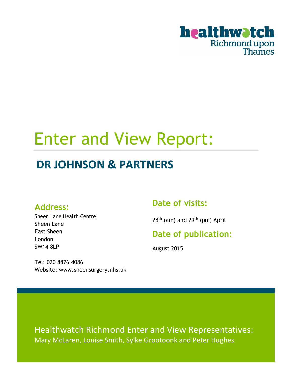

# Enter and View Report:

## **DR JOHNSON & PARTNERS**

### **Address:**

Sheen Lane Health Centre Sheen Lane East Sheen London SW14 8LP

### **Date of visits:**

 $28<sup>th</sup>$  (am) and  $29<sup>th</sup>$  (pm) April

### **Date of publication:**

August 2015

Tel: 020 8876 4086 Website: www.sheensurgery.nhs.uk

Healthwatch Richmond Enter and View Representatives: Mary McLaren, Louise Smith, Sylke Grootoonk and Peter Hughes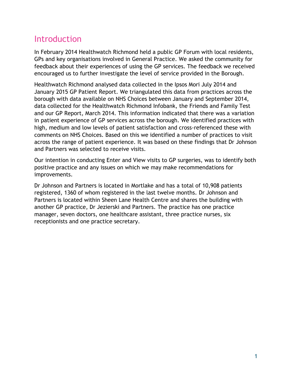### Introduction

In February 2014 Healthwatch Richmond held a public GP Forum with local residents, GPs and key organisations involved in General Practice. We asked the community for feedback about their experiences of using the GP services. The feedback we received encouraged us to further investigate the level of service provided in the Borough.

Healthwatch Richmond analysed data collected in the Ipsos Mori July 2014 and January 2015 GP Patient Report. We triangulated this data from practices across the borough with data available on NHS Choices between January and September 2014, data collected for the Healthwatch Richmond Infobank, the Friends and Family Test and our GP Report, March 2014. This information indicated that there was a variation in patient experience of GP services across the borough. We identified practices with high, medium and low levels of patient satisfaction and cross-referenced these with comments on NHS Choices. Based on this we identified a number of practices to visit across the range of patient experience. It was based on these findings that Dr Johnson and Partners was selected to receive visits.

Our intention in conducting Enter and View visits to GP surgeries, was to identify both positive practice and any issues on which we may make recommendations for improvements.

Dr Johnson and Partners is located in Mortlake and has a total of 10,908 patients registered, 1360 of whom registered in the last twelve months. Dr Johnson and Partners is located within Sheen Lane Health Centre and shares the building with another GP practice, Dr Jezierski and Partners. The practice has one practice manager, seven doctors, one healthcare assistant, three practice nurses, six receptionists and one practice secretary.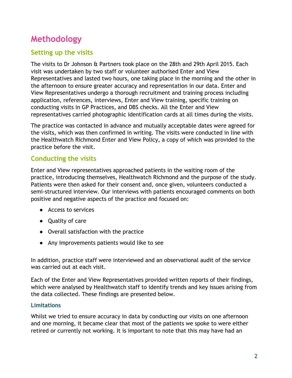### **Methodology**

### **Setting up the visits**

The visits to Dr Johnson & Partners took place on the 28th and 29th April 2015. Each visit was undertaken by two staff or volunteer authorised Enter and View Representatives and lasted two hours, one taking place in the morning and the other in the afternoon to ensure greater accuracy and representation in our data. Enter and View Representatives undergo a thorough recruitment and training process including application, references, interviews, Enter and View training, specific training on conducting visits in GP Practices, and DBS checks. All the Enter and View representatives carried photographic identification cards at all times during the visits.

The practice was contacted in advance and mutually acceptable dates were agreed for the visits, which was then confirmed in writing. The visits were conducted in line with the Healthwatch Richmond Enter and View Policy, a copy of which was provided to the practice before the visit.

### **Conducting the visits**

Enter and View representatives approached patients in the waiting room of the practice, introducing themselves, Healthwatch Richmond and the purpose of the study. Patients were then asked for their consent and, once given, volunteers conducted a semi-structured interview. Our interviews with patients encouraged comments on both positive and negative aspects of the practice and focused on:

- Access to services
- Quality of care
- Overall satisfaction with the practice
- Any improvements patients would like to see

In addition, practice staff were interviewed and an observational audit of the service was carried out at each visit.

Each of the Enter and View Representatives provided written reports of their findings, which were analysed by Healthwatch staff to identify trends and key issues arising from the data collected. These findings are presented below.

### **Limitations**

Whilst we tried to ensure accuracy in data by conducting our visits on one afternoon and one morning, it became clear that most of the patients we spoke to were either retired or currently not working. It is important to note that this may have had an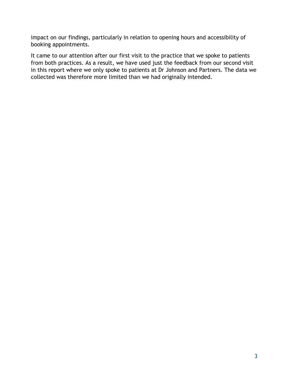impact on our findings, particularly in relation to opening hours and accessibility of booking appointments.

It came to our attention after our first visit to the practice that we spoke to patients from both practices. As a result, we have used just the feedback from our second visit in this report where we only spoke to patients at Dr Johnson and Partners. The data we collected was therefore more limited than we had originally intended.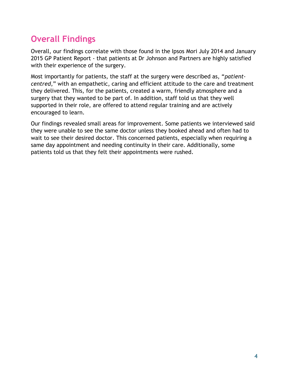### **Overall Findings**

Overall, our findings correlate with those found in the Ipsos Mori July 2014 and January 2015 GP Patient Report - that patients at Dr Johnson and Partners are highly satisfied with their experience of the surgery.

Most importantly for patients, the staff at the surgery were described as, "*patientcentred*," with an empathetic, caring and efficient attitude to the care and treatment they delivered. This, for the patients, created a warm, friendly atmosphere and a surgery that they wanted to be part of. In addition, staff told us that they well supported in their role, are offered to attend regular training and are actively encouraged to learn.

Our findings revealed small areas for improvement. Some patients we interviewed said they were unable to see the same doctor unless they booked ahead and often had to wait to see their desired doctor. This concerned patients, especially when requiring a same day appointment and needing continuity in their care. Additionally, some patients told us that they felt their appointments were rushed.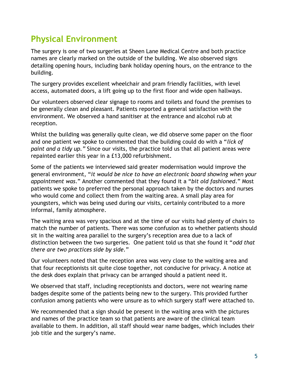### **Physical Environment**

The surgery is one of two surgeries at Sheen Lane Medical Centre and both practice names are clearly marked on the outside of the building. We also observed signs detailing opening hours, including bank holiday opening hours, on the entrance to the building.

The surgery provides excellent wheelchair and pram friendly facilities, with level access, automated doors, a lift going up to the first floor and wide open hallways.

Our volunteers observed clear signage to rooms and toilets and found the premises to be generally clean and pleasant. Patients reported a general satisfaction with the environment. We observed a hand sanitiser at the entrance and alcohol rub at reception.

Whilst the building was generally quite clean, we did observe some paper on the floor and one patient we spoke to commented that the building could do with a "*lick of paint and a tidy up."* Since our visits, the practice told us that all patient areas were repainted earlier this year in a £13,000 refurbishment.

Some of the patients we interviewed said greater modernisation would improve the general environment, "*it would be nice to have an electronic board showing when your appointment was*." Another commented that they found it a "*bit old fashioned*." Most patients we spoke to preferred the personal approach taken by the doctors and nurses who would come and collect them from the waiting area. A small play area for youngsters, which was being used during our visits, certainly contributed to a more informal, family atmosphere.

The waiting area was very spacious and at the time of our visits had plenty of chairs to match the number of patients. There was some confusion as to whether patients should sit in the waiting area parallel to the surgery's reception area due to a lack of distinction between the two surgeries. One patient told us that she found it "*odd that there are two practices side by side.*"

Our volunteers noted that the reception area was very close to the waiting area and that four receptionists sit quite close together, not conducive for privacy. A notice at the desk does explain that privacy can be arranged should a patient need it.

We observed that staff, including receptionists and doctors, were not wearing name badges despite some of the patients being new to the surgery. This provided further confusion among patients who were unsure as to which surgery staff were attached to.

We recommended that a sign should be present in the waiting area with the pictures and names of the practice team so that patients are aware of the clinical team available to them. In addition, all staff should wear name badges, which includes their job title and the surgery's name.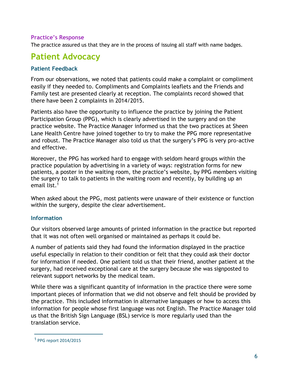#### **Practice's Response**

The practice assured us that they are in the process of issuing all staff with name badges.

### **Patient Advocacy**

#### **Patient Feedback**

From our observations, we noted that patients could make a complaint or compliment easily if they needed to. Compliments and Complaints leaflets and the Friends and Family test are presented clearly at reception. The complaints record showed that there have been 2 complaints in 2014/2015.

Patients also have the opportunity to influence the practice by joining the Patient Participation Group (PPG), which is clearly advertised in the surgery and on the practice website. The Practice Manager informed us that the two practices at Sheen Lane Health Centre have joined together to try to make the PPG more representative and robust. The Practice Manager also told us that the surgery's PPG is very pro-active and effective.

Moreover, the PPG has worked hard to engage with seldom heard groups within the practice population by advertising in a variety of ways: registration forms for new patients, a poster in the waiting room, the practice's website, by PPG members visiting the surgery to talk to patients in the waiting room and recently, by building up an email list.<sup>1</sup>

When asked about the PPG, most patients were unaware of their existence or function within the surgery, despite the clear advertisement.

#### **Information**

Our visitors observed large amounts of printed information in the practice but reported that it was not often well organised or maintained as perhaps it could be.

A number of patients said they had found the information displayed in the practice useful especially in relation to their condition or felt that they could ask their doctor for information if needed. One patient told us that their friend, another patient at the surgery, had received exceptional care at the surgery because she was signposted to relevant support networks by the medical team.

While there was a significant quantity of information in the practice there were some important pieces of information that we did not observe and felt should be provided by the practice. This included information in alternative languages or how to access this information for people whose first language was not English. The Practice Manager told us that the British Sign Language (BSL) service is more regularly used than the translation service.

 $\overline{a}$ 

<sup>1</sup> PPG report 2014/2015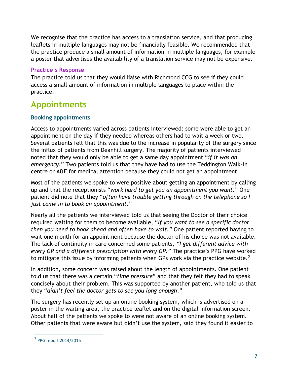We recognise that the practice has access to a translation service, and that producing leaflets in multiple languages may not be financially feasible. We recommended that the practice produce a small amount of information in multiple languages, for example a poster that advertises the availability of a translation service may not be expensive.

#### **Practice's Response**

The practice told us that they would liaise with Richmond CCG to see if they could access a small amount of information in multiple languages to place within the practice.

### **Appointments**

#### **Booking appointments**

Access to appointments varied across patients interviewed: some were able to get an appointment on the day if they needed whereas others had to wait a week or two. Several patients felt that this was due to the increase in popularity of the surgery since the influx of patients from Deanhill surgery. The majority of patients interviewed noted that they would only be able to get a same day appointment "*if it was an emergency.*" Two patients told us that they have had to use the Teddington Walk-in centre or A&E for medical attention because they could not get an appointment.

Most of the patients we spoke to were positive about getting an appointment by calling up and that the receptionists "*work hard to get you an appointment you want*." One patient did note that they "*often have trouble getting through on the telephone so I just come in to book an appointment.*"

Nearly all the patients we interviewed told us that seeing the Doctor of their choice required waiting for them to become available, "*If you want to see a specific doctor then you need to book ahead and often have to wait."* One patient reported having to wait one month for an appointment because the doctor of his choice was not available. The lack of continuity in care concerned some patients, *"I get different advice with every GP and a different prescription with every GP."* The practice's PPG have worked to mitigate this issue by informing patients when GPs work via the practice website.<sup>2</sup>

In addition, some concern was raised about the length of appointments. One patient told us that there was a certain "*time pressure*" and that they felt they had to speak concisely about their problem. This was supported by another patient, who told us that they "*didn't feel the doctor gets to see you long enough*."

The surgery has recently set up an online booking system, which is advertised on a poster in the waiting area, the practice leaflet and on the digital information screen. About half of the patients we spoke to were not aware of an online booking system. Other patients that were aware but didn't use the system, said they found it easier to

 $\overline{a}$ 

<sup>2</sup> PPG report 2014/2015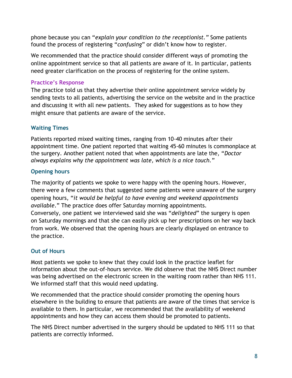phone because you can "*explain your condition to the receptionist."* Some patients found the process of registering "*confusing*" or didn't know how to register.

We recommended that the practice should consider different ways of promoting the online appointment service so that all patients are aware of it. In particular, patients need greater clarification on the process of registering for the online system.

### **Practice's Response**

The practice told us that they advertise their online appointment service widely by sending texts to all patients, advertising the service on the website and in the practice and discussing it with all new patients. They asked for suggestions as to how they might ensure that patients are aware of the service.

### **Waiting Times**

Patients reported mixed waiting times, ranging from 10-40 minutes after their appointment time. One patient reported that waiting 45-60 minutes is commonplace at the surgery. Another patient noted that when appointments are late the, "*Doctor always explains why the appointment was late, which is a nice touch.*"

### **Opening hours**

The majority of patients we spoke to were happy with the opening hours. However, there were a few comments that suggested some patients were unaware of the surgery opening hours, "*it would be helpful to have evening and weekend appointments available*." The practice does offer Saturday morning appointments. Conversely, one patient we interviewed said she was "*delighted*" the surgery is open on Saturday mornings and that she can easily pick up her prescriptions on her way back from work. We observed that the opening hours are clearly displayed on entrance to the practice.

### **Out of Hours**

Most patients we spoke to knew that they could look in the practice leaflet for information about the out-of-hours service. We did observe that the NHS Direct number was being advertised on the electronic screen in the waiting room rather than NHS 111. We informed staff that this would need updating.

We recommended that the practice should consider promoting the opening hours elsewhere in the building to ensure that patients are aware of the times that service is available to them. In particular, we recommended that the availability of weekend appointments and how they can access them should be promoted to patients.

The NHS Direct number advertised in the surgery should be updated to NHS 111 so that patients are correctly informed.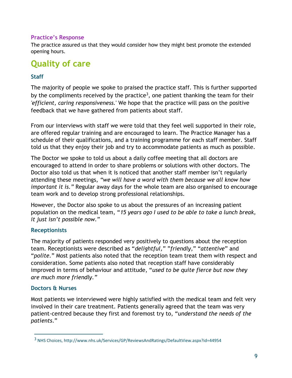#### **Practice's Response**

The practice assured us that they would consider how they might best promote the extended opening hours.

### **Quality of care**

#### **Staff**

The majority of people we spoke to praised the practice staff. This is further supported by the compliments received by the practice<sup>3</sup>, one patient thanking the team for their *'efficient, caring responsiveness.*' We hope that the practice will pass on the positive feedback that we have gathered from patients about staff.

From our interviews with staff we were told that they feel well supported in their role, are offered regular training and are encouraged to learn. The Practice Manager has a schedule of their qualifications, and a training programme for each staff member. Staff told us that they enjoy their job and try to accommodate patients as much as possible.

The Doctor we spoke to told us about a daily coffee meeting that all doctors are encouraged to attend in order to share problems or solutions with other doctors. The Doctor also told us that when it is noticed that another staff member isn't regularly attending these meetings, *"we will have a word with them because we all know how important it is."* Regular away days for the whole team are also organised to encourage team work and to develop strong professional relationships.

However, the Doctor also spoke to us about the pressures of an increasing patient population on the medical team, "*15 years ago I used to be able to take a lunch break, it just isn't possible now.*"

#### **Receptionists**

The majority of patients responded very positively to questions about the reception team. Receptionists were described as "*delightful,*" "*friendly,*" "*attentive*" and "*polite.*" Most patients also noted that the reception team treat them with respect and consideration. Some patients also noted that reception staff have considerably improved in terms of behaviour and attitude, "*used to be quite fierce but now they are much more friendly."*

#### **Doctors & Nurses**

 $\overline{a}$ 

Most patients we interviewed were highly satisfied with the medical team and felt very involved in their care treatment. Patients generally agreed that the team was very patient-centred because they first and foremost try to, "*understand the needs of the patients*."

<sup>3</sup> NHS Choices, http://www.nhs.uk/Services/GP/ReviewsAndRatings/DefaultView.aspx?id=44954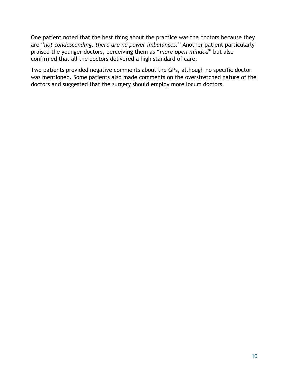One patient noted that the best thing about the practice was the doctors because they are "*not condescending, there are no power imbalances.*" Another patient particularly praised the younger doctors, perceiving them as "*more open-minded*" but also confirmed that all the doctors delivered a high standard of care.

Two patients provided negative comments about the GPs, although no specific doctor was mentioned. Some patients also made comments on the overstretched nature of the doctors and suggested that the surgery should employ more locum doctors.